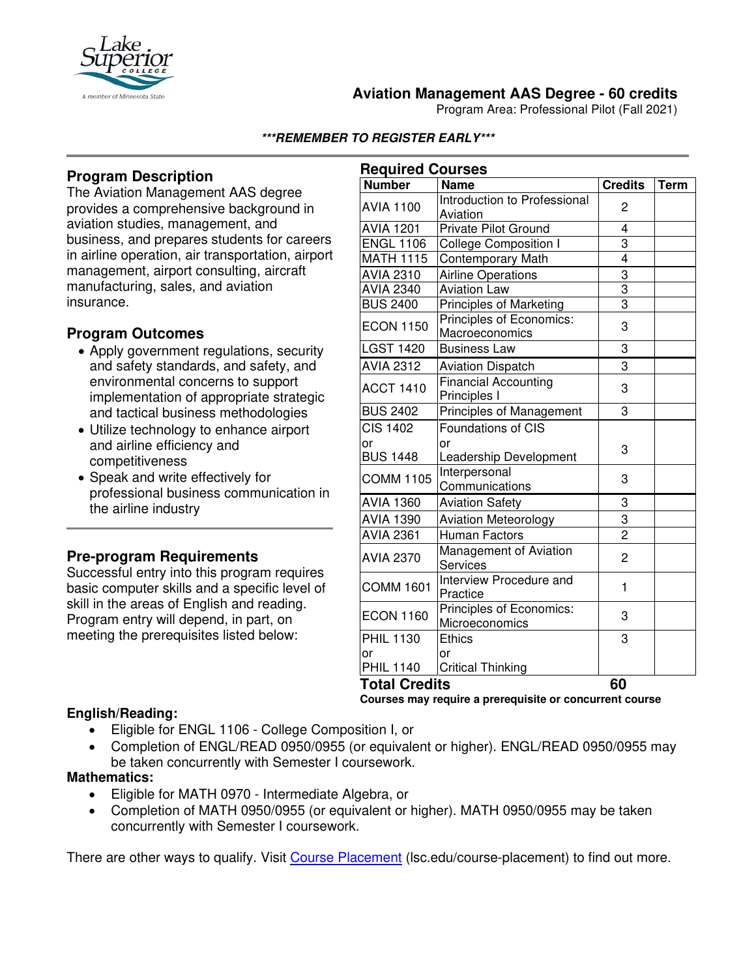

## **Aviation Management AAS Degree - 60 credits**

Program Area: Professional Pilot (Fall 2021)

#### **\*\*\*REMEMBER TO REGISTER EARLY\*\*\***

## **Program Description**

The Aviation Management AAS degree provides a comprehensive background in aviation studies, management, and business, and prepares students for careers in airline operation, air transportation, airport management, airport consulting, aircraft manufacturing, sales, and aviation insurance.

### **Program Outcomes**

- Apply government regulations, security and safety standards, and safety, and environmental concerns to support implementation of appropriate strategic and tactical business methodologies
- Utilize technology to enhance airport and airline efficiency and competitiveness
- Speak and write effectively for professional business communication in the airline industry

### **Pre-program Requirements**

Successful entry into this program requires basic computer skills and a specific level of skill in the areas of English and reading. Program entry will depend, in part, on meeting the prerequisites listed below:

| <b>Required Courses</b> |                                             |                |             |
|-------------------------|---------------------------------------------|----------------|-------------|
| <b>Number</b>           | <b>Name</b>                                 | <b>Credits</b> | <b>Term</b> |
| <b>AVIA 1100</b>        | Introduction to Professional<br>Aviation    | 2              |             |
| <b>AVIA 1201</b>        | <b>Private Pilot Ground</b>                 | 4              |             |
| <b>ENGL 1106</b>        | College Composition I                       | 3              |             |
| <b>MATH 1115</b>        | <b>Contemporary Math</b>                    | $\overline{4}$ |             |
| <b>AVIA 2310</b>        | <b>Airline Operations</b>                   | $\overline{3}$ |             |
| <b>AVIA 2340</b>        | <b>Aviation Law</b>                         | $\overline{3}$ |             |
| <b>BUS 2400</b>         | Principles of Marketing                     | $\overline{3}$ |             |
| <b>ECON 1150</b>        | Principles of Economics:<br>Macroeconomics  | 3              |             |
| <b>LGST 1420</b>        | <b>Business Law</b>                         | 3              |             |
| <b>AVIA 2312</b>        | <b>Aviation Dispatch</b>                    | $\overline{3}$ |             |
| <b>ACCT 1410</b>        | <b>Financial Accounting</b><br>Principles I | 3              |             |
| <b>BUS 2402</b>         | Principles of Management                    | 3              |             |
| <b>CIS 1402</b>         | <b>Foundations of CIS</b>                   |                |             |
| or                      | or                                          | 3              |             |
| <b>BUS 1448</b>         | Leadership Development                      |                |             |
| <b>COMM 1105</b>        | Interpersonal<br>Communications             | 3              |             |
| <b>AVIA 1360</b>        | <b>Aviation Safety</b>                      | 3              |             |
| <b>AVIA 1390</b>        | <b>Aviation Meteorology</b>                 | 3              |             |
| <b>AVIA 2361</b>        | <b>Human Factors</b>                        | $\overline{2}$ |             |
| <b>AVIA 2370</b>        | Management of Aviation<br><b>Services</b>   | $\overline{c}$ |             |
| <b>COMM 1601</b>        | Interview Procedure and<br>Practice         | 1              |             |
| <b>ECON 1160</b>        | Principles of Economics:<br>Microeconomics  | 3              |             |
| <b>PHIL 1130</b>        | <b>Ethics</b>                               | 3              |             |
| or                      | or                                          |                |             |
| <b>PHIL 1140</b>        | <b>Critical Thinking</b>                    |                |             |
| <b>Total Credits</b>    |                                             | 60             |             |

**Courses may require a prerequisite or concurrent course**

#### **English/Reading:**

- Eligible for ENGL 1106 College Composition I, or
- Completion of ENGL/READ 0950/0955 (or equivalent or higher). ENGL/READ 0950/0955 may be taken concurrently with Semester I coursework.

### **Mathematics:**

- Eligible for MATH 0970 Intermediate Algebra, or
- Completion of MATH 0950/0955 (or equivalent or higher). MATH 0950/0955 may be taken concurrently with Semester I coursework.

There are other ways to qualify. Visit [Course Placement](https://www.lsc.edu/course-placement/) (lsc.edu/course-placement) to find out more.